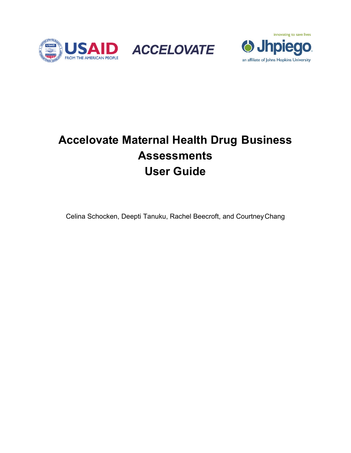





# **Accelovate Maternal Health Drug Business Assessments User Guide**

Celina Schocken, Deepti Tanuku, Rachel Beecroft, and Courtney Chang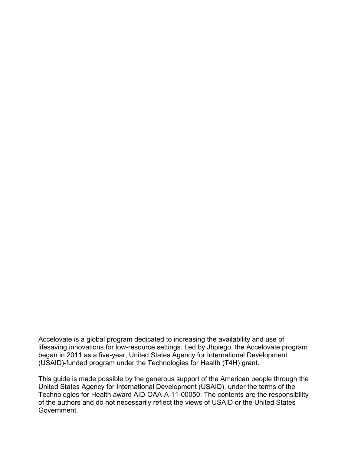Accelovate is a global program dedicated to increasing the availability and use of lifesaving innovations for low-resource settings. Led by Jhpiego, the Accelovate program began in 2011 as a five-year, United States Agency for International Development (USAID)-funded program under the Technologies for Health (T4H) grant.

This guide is made possible by the generous support of the American people through the United States Agency for International Development (USAID), under the terms of the Technologies for Health award AID-OAA-A-11-00050. The contents are the responsibility of the authors and do not necessarily reflect the views of USAID or the United States Government.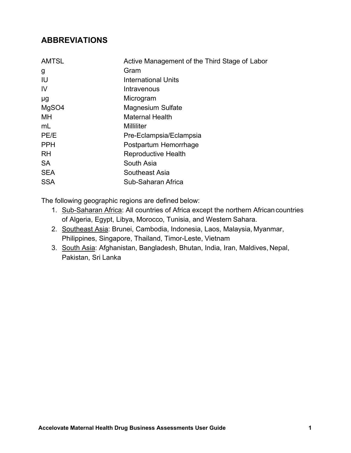# **ABBREVIATIONS**

| <b>AMTSL</b> | Active Management of the Third Stage of Labor |
|--------------|-----------------------------------------------|
| g            | Gram                                          |
| IU           | International Units                           |
| IV           | Intravenous                                   |
| μg           | Microgram                                     |
| MgSO4        | <b>Magnesium Sulfate</b>                      |
| МH           | <b>Maternal Health</b>                        |
| mL           | Milliliter                                    |
| PE/E         | Pre-Eclampsia/Eclampsia                       |
| <b>PPH</b>   | Postpartum Hemorrhage                         |
| <b>RH</b>    | <b>Reproductive Health</b>                    |
| <b>SA</b>    | South Asia                                    |
| <b>SEA</b>   | Southeast Asia                                |
| <b>SSA</b>   | Sub-Saharan Africa                            |

The following geographic regions are defined below:

- 1. Sub-Saharan Africa: All countries of Africa except the northern African countries of Algeria, Egypt, Libya, Morocco, Tunisia, and Western Sahara.
- 2. Southeast Asia: Brunei, Cambodia, Indonesia, Laos, Malaysia, Myanmar, Philippines, Singapore, Thailand, Timor-Leste, Vietnam
- 3. South Asia: Afghanistan, Bangladesh, Bhutan, India, Iran, Maldives, Nepal, Pakistan, Sri Lanka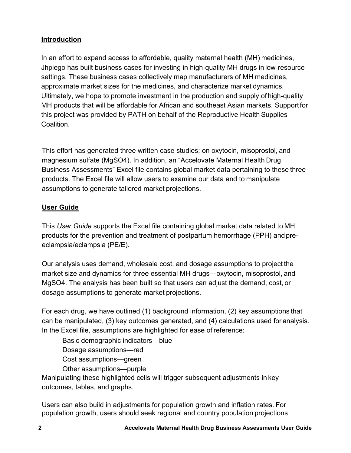### **Introduction**

In an effort to expand access to affordable, quality maternal health (MH) medicines, Jhpiego has built business cases for investing in high-quality MH drugs in low-resource settings. These business cases collectively map manufacturers of MH medicines, approximate market sizes for the medicines, and characterize market dynamics. Ultimately, we hope to promote investment in the production and supply of high-quality MH products that will be affordable for African and southeast Asian markets. Support for this project was provided by PATH on behalf of the Reproductive Health Supplies Coalition.

This effort has generated three written case studies: on oxytocin, misoprostol, and magnesium sulfate (MgSO4). In addition, an "Accelovate Maternal Health Drug Business Assessments" Excel file contains global market data pertaining to these three products. The Excel file will allow users to examine our data and to manipulate assumptions to generate tailored market projections.

### **User Guide**

This *User Guide* supports the Excel file containing global market data related to MH products for the prevention and treatment of postpartum hemorrhage (PPH) and preeclampsia/eclampsia (PE/E).

Our analysis uses demand, wholesale cost, and dosage assumptions to project the market size and dynamics for three essential MH drugs—oxytocin, misoprostol, and MgSO4. The analysis has been built so that users can adjust the demand, cost, or dosage assumptions to generate market projections.

For each drug, we have outlined (1) background information, (2) key assumptions that can be manipulated, (3) key outcomes generated, and (4) calculations used for analysis. In the Excel file, assumptions are highlighted for ease of reference:

Basic demographic indicators—blue Dosage assumptions—red

Cost assumptions—green

Other assumptions—purple

Manipulating these highlighted cells will trigger subsequent adjustments in key outcomes, tables, and graphs.

Users can also build in adjustments for population growth and inflation rates. For population growth, users should seek regional and country population projections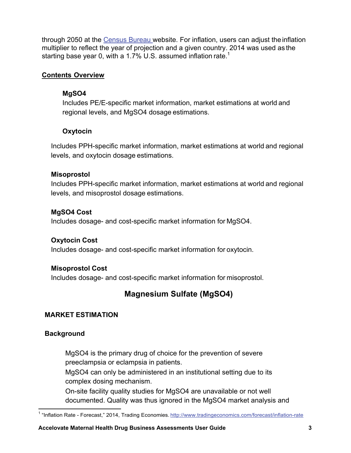through 2050 at the Census Bureau website. For inflation, users can adjust the inflation multiplier to reflect the year of projection and a given country. 2014 was used as the starting base year 0, with a 1.7% U.S. assumed inflation rate.<sup>1</sup>

### **Contents Overview**

### **MgSO4**

Includes PE/E-specific market information, market estimations at world and regional levels, and MgSO4 dosage estimations.

### **Oxytocin**

Includes PPH-specific market information, market estimations at world and regional levels, and oxytocin dosage estimations.

### **Misoprostol**

Includes PPH-specific market information, market estimations at world and regional levels, and misoprostol dosage estimations.

### **MgSO4 Cost**

Includes dosage- and cost-specific market information for MgSO4.

### **Oxytocin Cost**

Includes dosage- and cost-specific market information for oxytocin.

### **Misoprostol Cost**

Includes dosage- and cost-specific market information for misoprostol.

# **Magnesium Sulfate (MgSO4)**

### **MARKET ESTIMATION**

### **Background**

MgSO4 is the primary drug of choice for the prevention of severe preeclampsia or eclampsia in patients.

MgSO4 can only be administered in an institutional setting due to its complex dosing mechanism.

On-site facility quality studies for MgSO4 are unavailable or not well documented. Quality was thus ignored in the MgSO4 market analysis and

 <sup>1</sup> "Inflation Rate - Forecast," 2014, Trading Economies. http://www.tradingeconomics.com/forecast/inflation-rate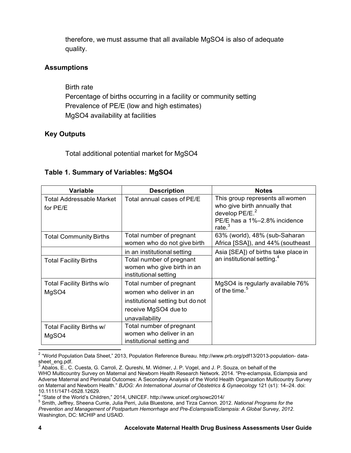therefore, we must assume that all available MgSO4 is also of adequate quality.

### **Assumptions**

Birth rate Percentage of births occurring in a facility or community setting Prevalence of PE/E (low and high estimates) MgSO4 availability at facilities

### **Key Outputs**

Total additional potential market for MgSO4

### **Table 1. Summary of Variables: MgSO4**

| Variable                                    | <b>Description</b>                                                                                                                | <b>Notes</b>                                                                                                                     |
|---------------------------------------------|-----------------------------------------------------------------------------------------------------------------------------------|----------------------------------------------------------------------------------------------------------------------------------|
| <b>Total Addressable Market</b><br>for PE/E | Total annual cases of PE/E                                                                                                        | This group represents all women<br>who give birth annually that<br>develop $PE/E.2$<br>PE/E has a 1%-2.8% incidence<br>rate. $3$ |
| <b>Total Community Births</b>               | Total number of pregnant<br>women who do not give birth                                                                           | 63% (world), 48% (sub-Saharan<br>Africa [SSA]), and 44% (southeast                                                               |
|                                             | in an institutional setting                                                                                                       | Asia [SEA]) of births take place in                                                                                              |
| <b>Total Facility Births</b>                | Total number of pregnant<br>women who give birth in an<br>institutional setting                                                   | an institutional setting. <sup>4</sup>                                                                                           |
| Total Facility Births w/o<br>MgSO4          | Total number of pregnant<br>women who deliver in an<br>institutional setting but do not<br>receive MgSO4 due to<br>unavailability | MgSO4 is regularly available 76%<br>of the time. <sup>5</sup>                                                                    |
| Total Facility Births w/<br>MgSO4           | Total number of pregnant<br>women who deliver in an<br>institutional setting and                                                  |                                                                                                                                  |

 2 "World Population Data Sheet," 2013, Population Reference Bureau. http://www.prb.org/pdf13/2013-population- datasheet\_eng.pdf.

<sup>&</sup>lt;sup>3</sup> Abalos, E., C. Cuesta, G. Carroli, Z. Qureshi, M. Widmer, J. P. Vogel, and J. P. Souza, on behalf of the WHO Multicountry Survey on Maternal and Newborn Health Research Network. 2014. "Pre-eclampsia, Eclampsia and Adverse Maternal and Perinatal Outcomes: A Secondary Analysis of the World Health Organization Multicountry Survey on Maternal and Newborn Health." *BJOG: An International Journal of Obstetrics & Gynaecology* 121 (s1): 14–24. doi: 10.1111/1471-0528.12629.

<sup>&</sup>lt;sup>4</sup> "State of the World's Children," 2014, UNICEF. http://www.unicef.org/sowc2014/<br><sup>5</sup> Smith, Joffroy, Shoone Currie, Julie Perri, Julie Pluggtone, and Tizze Cannon, 20

Smith, Jeffrey, Sheena Currie, Julia Perri, Julia Bluestone, and Tirza Cannon. 2012. *National Programs for the Prevention and Management of Postpartum Hemorrhage and Pre-Eclampsia/Eclampsia: A Global Survey, 2012*. Washington, DC: MCHIP and USAID.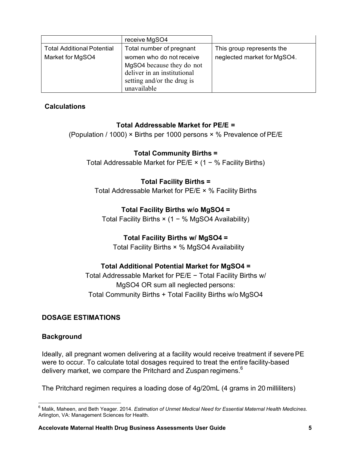| Total number of pregnant<br><b>Total Additional Potential</b><br>This group represents the                                                            |                             |
|-------------------------------------------------------------------------------------------------------------------------------------------------------|-----------------------------|
| Market for MgSO4<br>women who do not receive<br>MgSO4 because they do not<br>deliver in an institutional<br>setting and/or the drug is<br>unavailable | neglected market for MgSO4. |

### **Calculations**

#### **Total Addressable Market for PE/E =**

(Population / 1000) × Births per 1000 persons × % Prevalence of PE/E

### **Total Community Births =**

Total Addressable Market for PE/E × (1 − % Facility Births)

### **Total Facility Births =**

Total Addressable Market for PE/E × % Facility Births

#### **Total Facility Births w/o MgSO4 =**

Total Facility Births × (1 − % MgSO4 Availability)

### **Total Facility Births w/ MgSO4 =**

Total Facility Births × % MgSO4 Availability

### **Total Additional Potential Market for MgSO4 =**

Total Addressable Market for PE/E − Total Facility Births w/ MgSO4 OR sum all neglected persons: Total Community Births + Total Facility Births w/o MgSO4

#### **DOSAGE ESTIMATIONS**

#### **Background**

Ideally, all pregnant women delivering at a facility would receive treatment if severe PE were to occur. To calculate total dosages required to treat the entire facility-based delivery market, we compare the Pritchard and Zuspan regimens.<sup>6</sup>

The Pritchard regimen requires a loading dose of 4g/20mL (4 grams in 20 milliliters)

**<sup>.</sup>** 6 Malik, Maheen, and Beth Yeager. 2014. *Estimation of Unmet Medical Need for Essential Maternal Health Medicines*. Arlington, VA: Management Sciences for Health.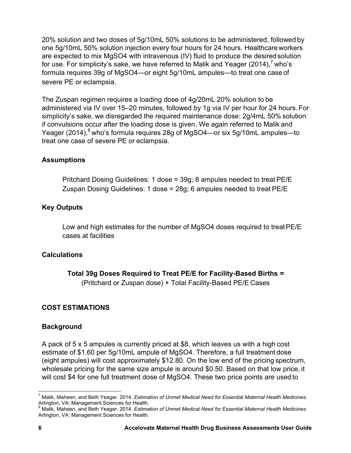20% solution and two doses of 5g/10mL 50% solutions to be administered, followed by one 5g/10mL 50% solution injection every four hours for 24 hours. Healthcare workers are expected to mix MgSO4 with intravenous (IV) fluid to produce the desired solution for use. For simplicity's sake, we have referred to Malik and Yeager (2014), $<sup>7</sup>$  who's</sup> formula requires 39g of MgSO4—or eight 5g/10mL ampules—to treat one case of severe PE or eclampsia.

The Zuspan regimen requires a loading dose of 4g/20mL 20% solution to be administered via IV over 15–20 minutes, followed by 1g via IV per hour for 24 hours. For simplicity's sake, we disregarded the required maintenance dose: 2g/4mL 50% solution if convulsions occur after the loading dose is given. We again referred to Malik and Yeager (2014),<sup>8</sup> who's formula requires 28g of MgSO4—or six 5g/10mL ampules—to treat one case of severe PE or eclampsia.

### **Assumptions**

Pritchard Dosing Guidelines: 1 dose = 39g; 8 ampules needed to treat PE/E Zuspan Dosing Guidelines: 1 dose = 28g; 6 ampules needed to treat PE/E

#### **Key Outputs**

Low and high estimates for the number of MgSO4 doses required to treat PE/E cases at facilities

#### **Calculations**

#### **Total 39g Doses Required to Treat PE/E for Facility-Based Births =**

(Pritchard or Zuspan dose) × Total Facility-Based PE/E Cases

#### **COST ESTIMATIONS**

#### **Background**

A pack of 5 x 5 ampules is currently priced at \$8, which leaves us with a high cost estimate of \$1.60 per 5g/10mL ampule of MgSO4. Therefore, a full treatment dose (eight ampules) will cost approximately \$12.80. On the low end of the pricing spectrum, wholesale pricing for the same size ampule is around \$0.50. Based on that low price, it will cost \$4 for one full treatment dose of MgSO4. These two price points are used to

 7 Malik, Maheen, and Beth Yeager. 2014. *Estimation of Unmet Medical Need for Essential Maternal Health Medicines*. Arlington, VA: Management Sciences for Health.

<sup>8</sup> Malik, Maheen, and Beth Yeager. 2014. *Estimation of Unmet Medical Need for Essential Maternal Health Medicines*. Arlington, VA: Management Sciences for Health.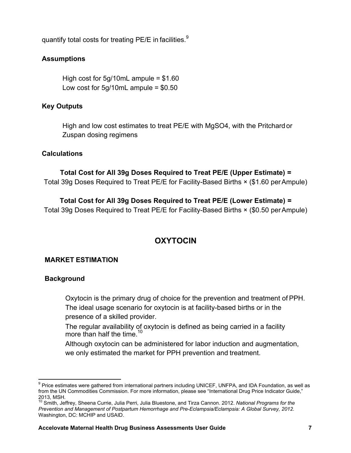quantify total costs for treating PE/E in facilities.<sup>9</sup>

#### **Assumptions**

High cost for  $5g/10mL$  ampule = \$1.60 Low cost for  $5g/10mL$  ampule =  $$0.50$ 

### **Key Outputs**

High and low cost estimates to treat PE/E with MgSO4, with the Pritchard or Zuspan dosing regimens

#### **Calculations**

**Total Cost for All 39g Doses Required to Treat PE/E (Upper Estimate) =** Total 39g Doses Required to Treat PE/E for Facility-Based Births × (\$1.60 per Ampule)

**Total Cost for All 39g Doses Required to Treat PE/E (Lower Estimate) =** Total 39g Doses Required to Treat PE/E for Facility-Based Births × (\$0.50 per Ampule)

### **OXYTOCIN**

#### **MARKET ESTIMATION**

#### **Background**

Oxytocin is the primary drug of choice for the prevention and treatment of PPH. The ideal usage scenario for oxytocin is at facility-based births or in the presence of a skilled provider.

The regular availability of oxytocin is defined as being carried in a facility more than half the time.<sup>10</sup>

Although oxytocin can be administered for labor induction and augmentation, we only estimated the market for PPH prevention and treatment.

 <sup>9</sup> Price estimates were gathered from international partners including UNICEF, UNFPA, and IDA Foundation, as well as from the UN Commodities Commission. For more information, please see "International Drug Price Indicator Guide," 2013, MSH.

<sup>10</sup> Smith, Jeffrey, Sheena Currie, Julia Perri, Julia Bluestone, and Tirza Cannon. 2012. *National Programs for the Prevention and Management of Postpartum Hemorrhage and Pre-Eclampsia/Eclampsia: A Global Survey, 2012.* Washington, DC: MCHIP and USAID.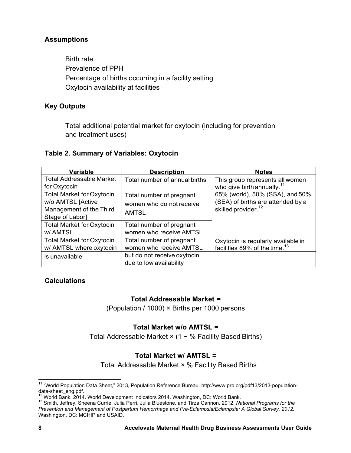### **Assumptions**

Birth rate Prevalence of PPH Percentage of births occurring in a facility setting Oxytocin availability at facilities

#### **Key Outputs**

Total additional potential market for oxytocin (including for prevention and treatment uses)

#### **Table 2. Summary of Variables: Oxytocin**

| <b>Variable</b>                  | <b>Description</b>            | <b>Notes</b>                                                                    |
|----------------------------------|-------------------------------|---------------------------------------------------------------------------------|
| <b>Total Addressable Market</b>  | Total number of annual births | This group represents all women                                                 |
| for Oxytocin                     |                               | who give birth annually. $11$                                                   |
| <b>Total Market for Oxytocin</b> | Total number of pregnant      | 65% (world), 50% (SSA), and 50%                                                 |
| w/o AMTSL [Active                | women who do not receive      | (SEA) of births are attended by a                                               |
| Management of the Third          | <b>AMTSL</b>                  | skilled provider. <sup>12</sup>                                                 |
| Stage of Labor]                  |                               |                                                                                 |
| <b>Total Market for Oxytocin</b> | Total number of pregnant      |                                                                                 |
| w/ AMTSL                         | women who receive AMTSL       |                                                                                 |
| <b>Total Market for Oxytocin</b> | Total number of pregnant      |                                                                                 |
| w/ AMTSL where oxytocin          | women who receive AMTSL       | Oxytocin is regularly available in<br>facilities 89% of the time. <sup>13</sup> |
| is unavailable                   | but do not receive oxytocin   |                                                                                 |
|                                  | due to low availability       |                                                                                 |

### **Calculations**

#### **Total Addressable Market =**

(Population / 1000) × Births per 1000 persons

#### **Total Market w/o AMTSL =**

Total Addressable Market × (1 − % Facility Based Births)

#### **Total Market w/ AMTSL =**

Total Addressable Market × % Facility Based Births

 <sup>11</sup> "World Population Data Sheet," 2013, Population Reference Bureau. http://www.prb.org/pdf13/2013-populationdata-sheet\_eng.pdf.<br><sup>12</sup> World Bank. 2014. World Development Indicators 2014. Washington, DC: World Bank.

<sup>&</sup>lt;sup>13</sup> Smith. Jeffrey, Sheena Currie, Julia Perri, Julia Bluestone, and Tirza Cannon. 2012. National Programs for the *Prevention and Management of Postpartum Hemorrhage and Pre-Eclampsia/Eclampsia: A Global Survey, 2012.* Washington, DC: MCHIP and USAID.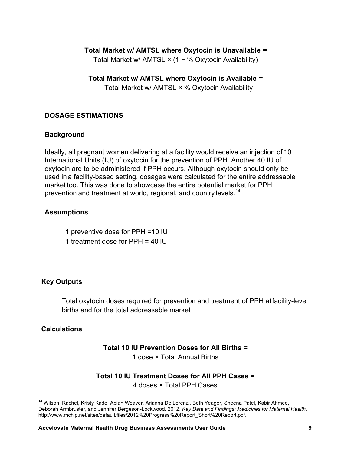#### **Total Market w/ AMTSL where Oxytocin is Unavailable =**

Total Market w/ AMTSL × (1 − % Oxytocin Availability)

**Total Market w/ AMTSL where Oxytocin is Available =** Total Market w/ AMTSL × % Oxytocin Availability

#### **DOSAGE ESTIMATIONS**

#### **Background**

Ideally, all pregnant women delivering at a facility would receive an injection of 10 International Units (IU) of oxytocin for the prevention of PPH. Another 40 IU of oxytocin are to be administered if PPH occurs. Although oxytocin should only be used in a facility-based setting, dosages were calculated for the entire addressable market too. This was done to showcase the entire potential market for PPH prevention and treatment at world, regional, and country levels.<sup>14</sup>

#### **Assumptions**

- 1 preventive dose for PPH =10 IU
- 1 treatment dose for PPH = 40 IU

#### **Key Outputs**

Total oxytocin doses required for prevention and treatment of PPH at facility-level births and for the total addressable market

#### **Calculations**

 $\overline{a}$ 

#### **Total 10 IU Prevention Doses for All Births =**

1 dose × Total Annual Births

### **Total 10 IU Treatment Doses for All PPH Cases =** 4 doses × Total PPH Cases

<sup>&</sup>lt;sup>14</sup> Wilson, Rachel, Kristy Kade, Abiah Weaver, Arianna De Lorenzi, Beth Yeager, Sheena Patel, Kabir Ahmed, Deborah Armbruster, and Jennifer Bergeson-Lockwood. 2012. *Key Data and Findings: Medicines for Maternal Health.* http://www.mchip.net/sites/default/files/2012%20Progress%20Report\_Short%20Report.pdf.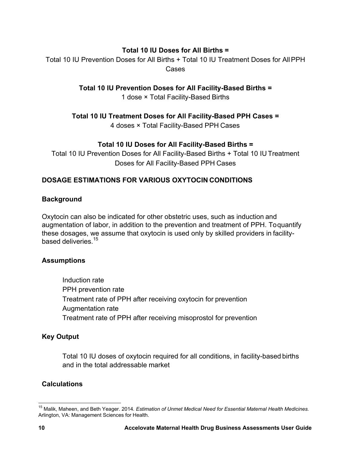### **Total 10 IU Doses for All Births =**

Total 10 IU Prevention Doses for All Births + Total 10 IU Treatment Doses for All PPH Cases

**Total 10 IU Prevention Doses for All Facility-Based Births =**

1 dose × Total Facility-Based Births

**Total 10 IU Treatment Doses for All Facility-Based PPH Cases =**

4 doses × Total Facility-Based PPH Cases

### **Total 10 IU Doses for All Facility-Based Births =**

Total 10 IU Prevention Doses for All Facility-Based Births + Total 10 IU Treatment Doses for All Facility-Based PPH Cases

### **DOSAGE ESTIMATIONS FOR VARIOUS OXYTOCIN CONDITIONS**

#### **Background**

Oxytocin can also be indicated for other obstetric uses, such as induction and augmentation of labor, in addition to the prevention and treatment of PPH. To quantify these dosages, we assume that oxytocin is used only by skilled providers in facilitybased deliveries.<sup>15</sup>

### **Assumptions**

Induction rate PPH prevention rate Treatment rate of PPH after receiving oxytocin for prevention Augmentation rate Treatment rate of PPH after receiving misoprostol for prevention

### **Key Output**

Total 10 IU doses of oxytocin required for all conditions, in facility-based births and in the total addressable market

### **Calculations**

**<sup>.</sup>** 15 Malik, Maheen, and Beth Yeager. 2014*. Estimation of Unmet Medical Need for Essential Maternal Health Medicines.* Arlington, VA: Management Sciences for Health.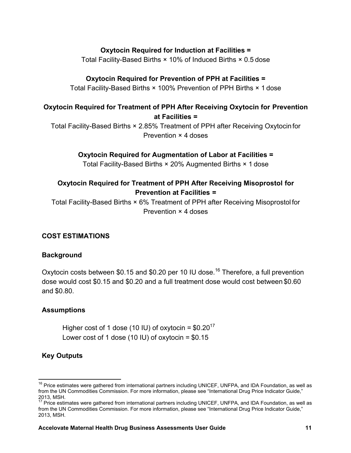#### **Oxytocin Required for Induction at Facilities =**

Total Facility-Based Births × 10% of Induced Births × 0.5 dose

#### **Oxytocin Required for Prevention of PPH at Facilities =**

Total Facility-Based Births × 100% Prevention of PPH Births × 1 dose

### **Oxytocin Required for Treatment of PPH After Receiving Oxytocin for Prevention at Facilities =**

Total Facility-Based Births × 2.85% Treatment of PPH after Receiving Oxytocin for Prevention × 4 doses

#### **Oxytocin Required for Augmentation of Labor at Facilities =**

Total Facility-Based Births × 20% Augmented Births × 1 dose

### **Oxytocin Required for Treatment of PPH After Receiving Misoprostol for Prevention at Facilities =**

Total Facility-Based Births × 6% Treatment of PPH after Receiving Misoprostol for Prevention × 4 doses

#### **COST ESTIMATIONS**

#### **Background**

Oxytocin costs between \$0.15 and \$0.20 per 10 IU dose.<sup>16</sup> Therefore, a full prevention dose would cost \$0.15 and \$0.20 and a full treatment dose would cost between \$0.60 and \$0.80.

#### **Assumptions**

Higher cost of 1 dose (10 IU) of oxytocin =  $$0.20^{17}$ Lower cost of 1 dose (10 IU) of oxytocin  $= $0.15$ 

#### **Key Outputs**

<sup>&</sup>lt;sup>16</sup> Price estimates were gathered from international partners including UNICEF, UNFPA, and IDA Foundation, as well as from the UN Commodities Commission. For more information, please see "International Drug Price Indicator Guide," 2013, MSH.

 $17$  Price estimates were gathered from international partners including UNICEF, UNFPA, and IDA Foundation, as well as from the UN Commodities Commission. For more information, please see "International Drug Price Indicator Guide," 2013, MSH.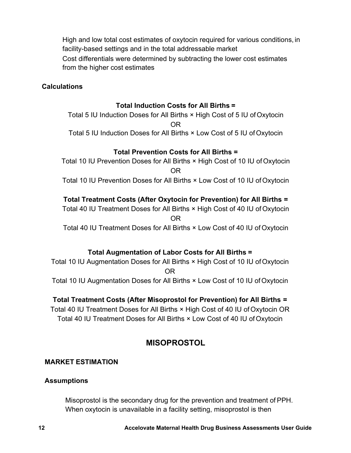High and low total cost estimates of oxytocin required for various conditions, in facility-based settings and in the total addressable market Cost differentials were determined by subtracting the lower cost estimates from the higher cost estimates

#### **Calculations**

#### **Total Induction Costs for All Births =**

Total 5 IU Induction Doses for All Births × High Cost of 5 IU of Oxytocin OR Total 5 IU Induction Doses for All Births × Low Cost of 5 IU of Oxytocin

#### **Total Prevention Costs for All Births =**

Total 10 IU Prevention Doses for All Births × High Cost of 10 IU of Oxytocin OR Total 10 IU Prevention Doses for All Births × Low Cost of 10 IU of Oxytocin

### **Total Treatment Costs (After Oxytocin for Prevention) for All Births =**

Total 40 IU Treatment Doses for All Births × High Cost of 40 IU of Oxytocin OR

Total 40 IU Treatment Doses for All Births × Low Cost of 40 IU of Oxytocin

### **Total Augmentation of Labor Costs for All Births =**

Total 10 IU Augmentation Doses for All Births × High Cost of 10 IU of Oxytocin OR Total 10 IU Augmentation Doses for All Births × Low Cost of 10 IU of Oxytocin

**Total Treatment Costs (After Misoprostol for Prevention) for All Births =**  Total 40 IU Treatment Doses for All Births × High Cost of 40 IU of Oxytocin OR

Total 40 IU Treatment Doses for All Births × Low Cost of 40 IU of Oxytocin

### **MISOPROSTOL**

#### **MARKET ESTIMATION**

#### **Assumptions**

Misoprostol is the secondary drug for the prevention and treatment of PPH. When oxytocin is unavailable in a facility setting, misoprostol is then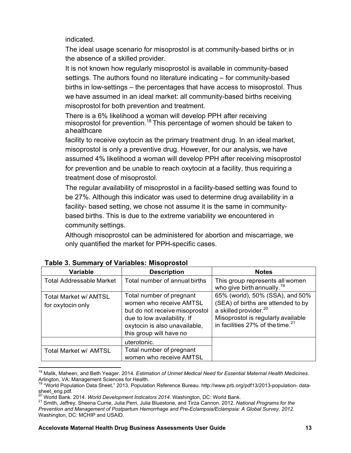indicated.

The ideal usage scenario for misoprostol is at community-based births or in the absence of a skilled provider.

It is not known how regularly misoprostol is available in community-based settings. The authors found no literature indicating – for community-based births in low-settings – the percentages that have access to misoprostol. Thus we have assumed in an ideal market: all community-based births receiving misoprostol for both prevention and treatment.

There is a 6% likelihood a woman will develop PPH after receiving misoprostol for prevention.<sup>18</sup> This percentage of women should be taken to a healthcare

facility to receive oxytocin as the primary treatment drug. In an ideal market, misoprostol is only a preventive drug. However, for our analysis, we have assumed 4% likelihood a woman will develop PPH after receiving misoprostol for prevention and be unable to reach oxytocin at a facility, thus requiring a treatment dose of misoprostol.

The regular availability of misoprostol in a facility-based setting was found to be 27%. Although this indicator was used to determine drug availability in a facility- based setting, we chose not assume it is the same in communitybased births. This is due to the extreme variability we encountered in community settings.

Although misoprostol can be administered for abortion and miscarriage, we only quantified the market for PPH-specific cases.

| Variable                                          | <b>Description</b>                                                                                                                                                               | <b>Notes</b>                                                                                                                                                                            |
|---------------------------------------------------|----------------------------------------------------------------------------------------------------------------------------------------------------------------------------------|-----------------------------------------------------------------------------------------------------------------------------------------------------------------------------------------|
| <b>Total Addressable Market</b>                   | Total number of annual births                                                                                                                                                    | This group represents all women<br>who give birth annually. <sup>19</sup>                                                                                                               |
| <b>Total Market w/ AMTSL</b><br>for oxytocin only | Total number of pregnant<br>women who receive AMTSL<br>but do not receive misoprostol<br>due to low availability. If<br>oxytocin is also unavailable,<br>this group will have no | 65% (world), 50% (SSA), and 50%<br>(SEA) of births are attended to by<br>a skilled provider. <sup>20</sup><br>Misoprostol is regularly available<br>in facilities 27% of the time. $21$ |
| Total Market w/ AMTSL                             | uterotonic.<br>Total number of pregnant<br>women who receive AMTSL                                                                                                               |                                                                                                                                                                                         |

| <b>Table 3. Summary of Variables: Misoprostol</b> |  |  |
|---------------------------------------------------|--|--|
|---------------------------------------------------|--|--|

 $\overline{a}$ 18 Malik, Maheen, and Beth Yeager. 2014*. Estimation of Unmet Medical Need for Essential Maternal Health Medicines.* Arlington, VA: Management Sciences for Health.

<sup>&</sup>lt;sup>19</sup> "World Population Data Sheet," 2013, Population Reference Bureau. http://www.prb.org/pdf13/2013-population-datasheet\_eng.pdf.<br><sup>20</sup> World Bank. 2014. *World Development Indicators 2014*. Washington, DC: World Bank.

<sup>&</sup>lt;sup>21</sup> Smith. Jeffrey, Sheena Currie, Julia Perri, Julia Bluestone, and Tirza Cannon. 2012. National Programs for the *Prevention and Management of Postpartum Hemorrhage and Pre-Eclampsia/Eclampsia: A Global Survey, 2012*. Washington, DC: MCHIP and USAID.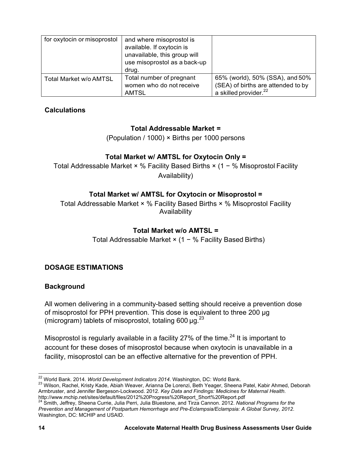| for oxytocin or misoprostol | and where misoprostol is<br>available. If oxytocin is<br>unavailable, this group will<br>use misoprostol as a back-up<br>drug. |                                                                                                            |
|-----------------------------|--------------------------------------------------------------------------------------------------------------------------------|------------------------------------------------------------------------------------------------------------|
| Total Market w/o AMTSL      | Total number of pregnant<br>women who do not receive<br><b>AMTSL</b>                                                           | 65% (world), 50% (SSA), and 50%<br>(SEA) of births are attended to by<br>a skilled provider. <sup>22</sup> |

### **Calculations**

### **Total Addressable Market =**

(Population / 1000) × Births per 1000 persons

### **Total Market w/ AMTSL for Oxytocin Only =**

Total Addressable Market × % Facility Based Births × (1 − % Misoprostol Facility Availability)

### **Total Market w/ AMTSL for Oxytocin or Misoprostol =**

Total Addressable Market × % Facility Based Births × % Misoprostol Facility Availability

### **Total Market w/o AMTSL =**

Total Addressable Market × (1 − % Facility Based Births)

### **DOSAGE ESTIMATIONS**

### **Background**

All women delivering in a community-based setting should receive a prevention dose of misoprostol for PPH prevention. This dose is equivalent to three 200 μg (microgram) tablets of misoprostol, totaling 600  $\mu$ g.<sup>23</sup>

Misoprostol is regularly available in a facility 27% of the time.<sup>24</sup> It is important to account for these doses of misoprostol because when oxytocin is unavailable in a facility, misoprostol can be an effective alternative for the prevention of PPH.

<sup>23</sup> Wilson, Rachel, Kristy Kade, Abiah Weaver, Arianna De Lorenzi, Beth Yeager, Sheena Patel, Kabir Ahmed, Deborah Armbruster, and Jennifer Bergeson-Lockwood. 2012. *Key Data and Findings: Medicines for Maternal Health*.

<sup>&</sup>lt;sup>22</sup> World Bank. 2014. World Development Indicators 2014. Washington, DC: World Bank.

<sup>&</sup>lt;sup>24</sup> Smith, Jeffrey, Sheena Currie, Julia Perri, Julia Bluestone, and Tirza Cannon. 2012. National Programs for the *Prevention and Management of Postpartum Hemorrhage and Pre-Eclampsia/Eclampsia: A Global Survey, 2012*. Washington, DC: MCHIP and USAID.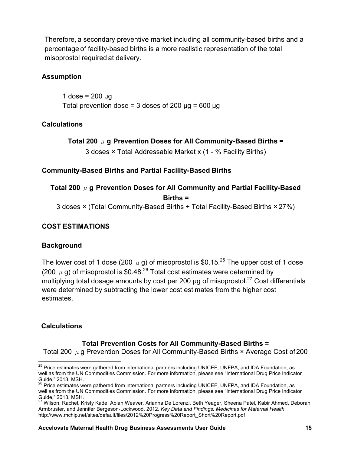Therefore, a secondary preventive market including all community-based births and a percentage of facility-based births is a more realistic representation of the total misoprostol required at delivery.

### **Assumption**

1 dose =  $200 \mu g$ Total prevention dose = 3 doses of 200  $\mu$ g = 600  $\mu$ g

### **Calculations**

**Total 200** μ**g Prevention Doses for All Community-Based Births =** 3 doses × Total Addressable Market x (1 - % Facility Births)

#### **Community-Based Births and Partial Facility-Based Births**

# **Total 200** μ**g Prevention Doses for All Community and Partial Facility-Based Births =**

3 doses × (Total Community-Based Births + Total Facility-Based Births × 27%)

### **COST ESTIMATIONS**

### **Background**

The lower cost of 1 dose (200  $\mu$  g) of misoprostol is \$0.15.<sup>25</sup> The upper cost of 1 dose (200  $\mu$  g) of misoprostol is \$0.48.<sup>26</sup> Total cost estimates were determined by multiplying total dosage amounts by cost per 200  $\mu$ g of misoprostol.<sup>27</sup> Cost differentials were determined by subtracting the lower cost estimates from the higher cost estimates.

### **Calculations**

### **Total Prevention Costs for All Community-Based Births =**

Total 200  $\mu$  g Prevention Doses for All Community-Based Births  $\times$  Average Cost of 200

<sup>&</sup>lt;sup>25</sup> Price estimates were gathered from international partners including UNICEF, UNFPA, and IDA Foundation, as well as from the UN Commodities Commission. For more information, please see "International Drug Price Indicator Guide," 2013, MSH.

<sup>&</sup>lt;sup>26</sup> Price estimates were gathered from international partners including UNICEF, UNFPA, and IDA Foundation, as well as from the UN Commodities Commission. For more information, please see "International Drug Price Indicator Guide," 2013, MSH.

<sup>27</sup> Wilson, Rachel, Kristy Kade, Abiah Weaver, Arianna De Lorenzi, Beth Yeager, Sheena Patel, Kabir Ahmed, Deborah Armbruster, and Jennifer Bergeson-Lockwood. 2012. *Key Data and Findings: Medicines for Maternal Health*. http://www.mchip.net/sites/default/files/2012%20Progress%20Report\_Short%20Report.pdf